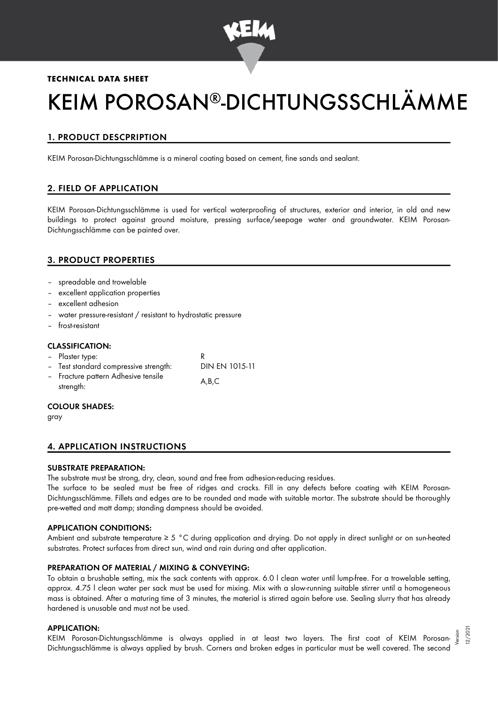

## **TECHNICAL DATA SHEET**

# KEIM POROSAN®-DICHTUNGSSCHLÄMME

# 1. PRODUCT DESCPRIPTION

KEIM Porosan-Dichtungsschlämme is a mineral coating based on cement, fine sands and sealant.

# 2. FIELD OF APPLICATION

KEIM Porosan-Dichtungsschlämme is used for vertical waterproofing of structures, exterior and interior, in old and new buildings to protect against ground moisture, pressing surface/seepage water and groundwater. KEIM Porosan-Dichtungsschlämme can be painted over.

## 3. PRODUCT PROPERTIES

- spreadable and trowelable
- excellent application properties
- excellent adhesion
- water pressure-resistant / resistant to hydrostatic pressure
- frost-resistant

#### CLASSIFICATION:

| - Plaster type:                                  |                |
|--------------------------------------------------|----------------|
| - Test standard compressive strength:            | DIN EN 1015-11 |
| - Fracture pattern Adhesive tensile<br>strength: | A.B.C          |

#### COLOUR SHADES:

gray

## 4. APPLICATION INSTRUCTIONS

#### SUBSTRATE PREPARATION:

The substrate must be strong, dry, clean, sound and free from adhesion-reducing residues.

The surface to be sealed must be free of ridges and cracks. Fill in any defects before coating with KEIM Porosan-Dichtungsschlämme. Fillets and edges are to be rounded and made with suitable mortar. The substrate should be thoroughly pre-wetted and matt damp; standing dampness should be avoided.

#### APPLICATION CONDITIONS:

Ambient and substrate temperature ≥ 5 °C during application and drying. Do not apply in direct sunlight or on sun-heated substrates. Protect surfaces from direct sun, wind and rain during and after application.

#### PREPARATION OF MATERIAL / MIXING & CONVEYING:

To obtain a brushable setting, mix the sack contents with approx. 6.0 l clean water until lump-free. For a trowelable setting, approx. 4.75 l clean water per sack must be used for mixing. Mix with a slow-running suitable stirrer until a homogeneous mass is obtained. After a maturing time of 3 minutes, the material is stirred again before use. Sealing slurry that has already hardened is unusable and must not be used.

#### APPLICATION:

KEIM Porosan-Dichtungsschlämme is always applied in at least two layers. The first coat of KEIM Porosan-Dichtungsschlämme is always applied by brush. Corners and broken edges in particular must be well covered. The second Version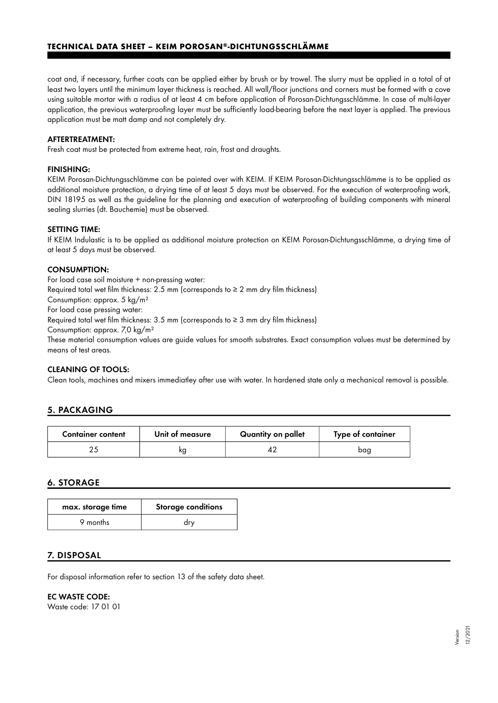# **TECHNICAL DATA SHEET – KEIM POROSAN -DICHTUNGSSCHLÄMME ®**

coat and, if necessary, further coats can be applied either by brush or by trowel. The slurry must be applied in a total of at least two layers until the minimum layer thickness is reached. All wall/floor junctions and corners must be formed with a cove using suitable mortar with a radius of at least 4 cm before application of Porosan-Dichtungsschlämme. In case of multi-layer application, the previous waterproofing layer must be sufficiently load-bearing before the next layer is applied. The previous application must be matt damp and not completely dry.

## AFTERTREATMENT:

Fresh coat must be protected from extreme heat, rain, frost and draughts.

## FINISHING:

KEIM Porosan-Dichtungsschlämme can be painted over with KEIM. If KEIM Porosan-Dichtungsschlämme is to be applied as additional moisture protection, a drying time of at least 5 days must be observed. For the execution of waterproofing work, DIN 18195 as well as the guideline for the planning and execution of waterproofing of building components with mineral sealing slurries (dt. Bauchemie) must be observed.

## SETTING TIME:

If KEIM Indulastic is to be applied as additional moisture protection on KEIM Porosan-Dichtungsschlämme, a drying time of at least 5 days must be observed.

## CONSUMPTION:

For load case soil moisture + non-pressing water:

Required total wet film thickness: 2.5 mm (corresponds to  $\geq$  2 mm dry film thickness)

Consumption: approx. 5 kg/m²

For load case pressing water:

Required total wet film thickness:  $3.5 \text{ mm}$  (corresponds to  $\geq 3 \text{ mm}$  dry film thickness)

Consumption: approx. 7,0 kg/m²

These material consumption values are guide values for smooth substrates. Exact consumption values must be determined by means of test areas.

## CLEANING OF TOOLS:

Clean tools, machines and mixers immediatley after use with water. In hardened state only a mechanical removal is possible.

## 5. PACKAGING

| <b>Container content</b> | Unit of measure | Quantity on pallet | Type of container |
|--------------------------|-----------------|--------------------|-------------------|
|                          | ĸg              |                    | bag               |

# 6. STORAGE

| max. storage time | <b>Storage conditions</b> |
|-------------------|---------------------------|
| 9 months          | drv                       |

## 7. DISPOSAL

For disposal information refer to section 13 of the safety data sheet.

#### EC WASTE CODE:

Waste code: 17 01 01